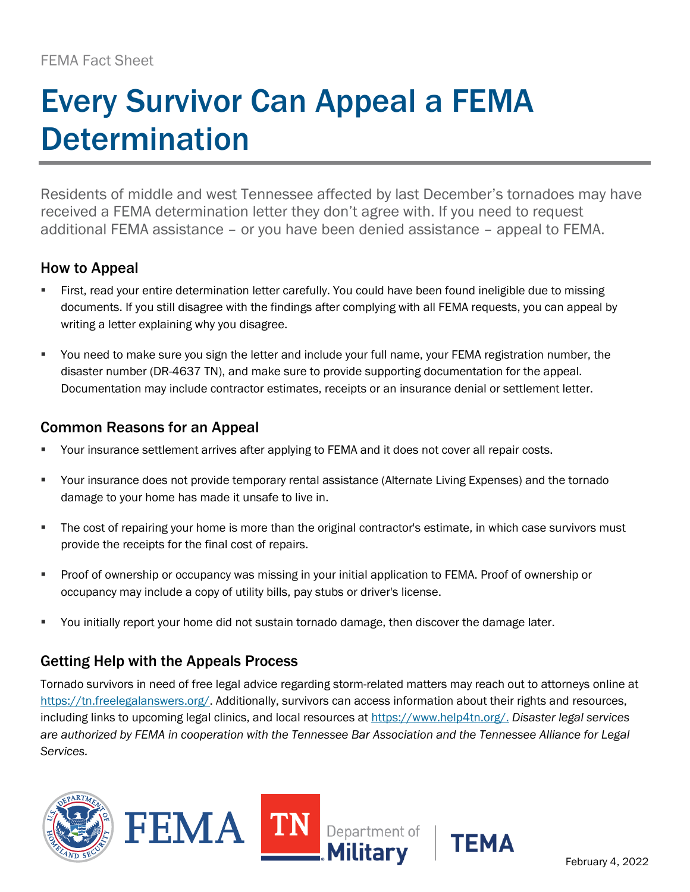# Every Survivor Can Appeal a FEMA **Determination**

Residents of middle and west Tennessee affected by last December's tornadoes may have received a FEMA determination letter they don't agree with. If you need to request additional FEMA assistance – or you have been denied assistance – appeal to FEMA.

## How to Appeal

- First, read your entire determination letter carefully. You could have been found ineligible due to missing documents. If you still disagree with the findings after complying with all FEMA requests, you can appeal by writing a letter explaining why you disagree.
- You need to make sure you sign the letter and include your full name, your FEMA registration number, the disaster number (DR-4637 TN), and make sure to provide supporting documentation for the appeal. Documentation may include contractor estimates, receipts or an insurance denial or settlement letter.

## Common Reasons for an Appeal

- Your insurance settlement arrives after applying to FEMA and it does not cover all repair costs.
- Your insurance does not provide temporary rental assistance (Alternate Living Expenses) and the tornado damage to your home has made it unsafe to live in.
- **The cost of repairing your home is more than the original contractor's estimate, in which case survivors must** provide the receipts for the final cost of repairs.
- Proof of ownership or occupancy was missing in your initial application to FEMA. Proof of ownership or occupancy may include a copy of utility bills, pay stubs or driver's license.
- You initially report your home did not sustain tornado damage, then discover the damage later.

## Getting Help with the Appeals Process

Tornado survivors in need of free legal advice regarding storm-related matters may reach out to attorneys online at [https://tn.freelegalanswers.org/.](https://tn.freelegalanswers.org/) Additionally, survivors can access information about their rights and resources, including links to upcoming legal clinics, and local resources at [https://www.help4tn.org/.](https://www.help4tn.org/) *Disaster legal services are authorized by FEMA in cooperation with the Tennessee Bar Association and the Tennessee Alliance for Legal Services.*







**TEMA**